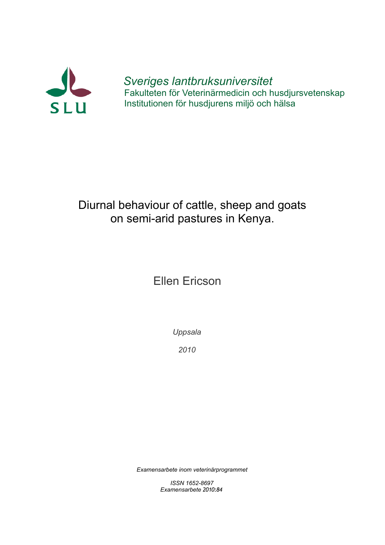

*Sveriges lantbruksuniversitet* Fakulteten för Veterinärmedicin och husdjursvetenskap Institutionen för husdjurens miljö och hälsa

# Diurnal behaviour of cattle, sheep and goats on semi-arid pastures in Kenya.

# Ellen Ericson

*Uppsala*

*2010*

*Examensarbete inom veterinärprogrammet*

*ISSN 1652-8697 Examensarbete 2010:84*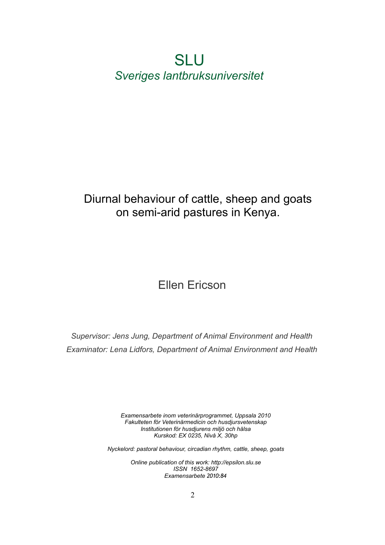# SLU *Sveriges lantbruksuniversitet*

# Diurnal behaviour of cattle, sheep and goats on semi-arid pastures in Kenya.

# Ellen Ericson

*Supervisor: Jens Jung, Department of Animal Environment and Health Examinator: Lena Lidfors, Department of Animal Environment and Health*

> *Examensarbete inom veterinärprogrammet, Uppsala 2010 Fakulteten för Veterinärmedicin och husdjursvetenskap Institutionen för husdjurens miljö och hälsa Kurskod: EX 0235, Nivå X, 30hp*

*Nyckelord: pastoral behaviour, circadian rhythm, cattle, sheep, goats*

*Online publication of this work: http://epsilon.slu.se ISSN 1652-8697 Examensarbete 2010:84*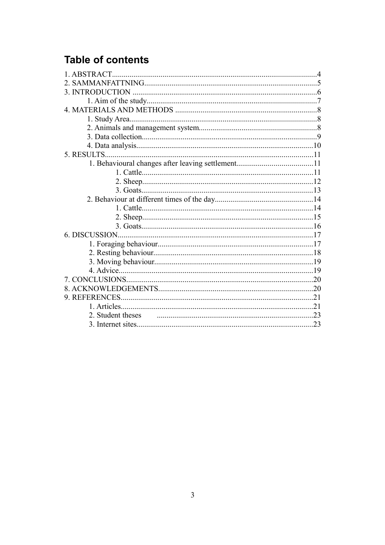# **Table of contents**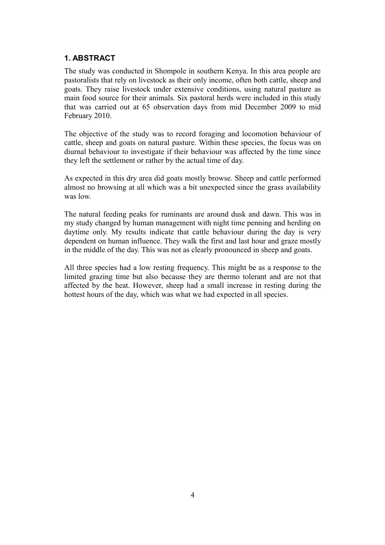# **1. ABSTRACT**

The study was conducted in Shompole in southern Kenya. In this area people are pastoralists that rely on livestock as their only income, often both cattle, sheep and goats. They raise livestock under extensive conditions, using natural pasture as main food source for their animals. Six pastoral herds were included in this study that was carried out at 65 observation days from mid December 2009 to mid February 2010.

The objective of the study was to record foraging and locomotion behaviour of cattle, sheep and goats on natural pasture. Within these species, the focus was on diurnal behaviour to investigate if their behaviour was affected by the time since they left the settlement or rather by the actual time of day.

As expected in this dry area did goats mostly browse. Sheep and cattle performed almost no browsing at all which was a bit unexpected since the grass availability was low.

The natural feeding peaks for ruminants are around dusk and dawn. This was in my study changed by human management with night time penning and herding on daytime only. My results indicate that cattle behaviour during the day is very dependent on human influence. They walk the first and last hour and graze mostly in the middle of the day. This was not as clearly pronounced in sheep and goats.

All three species had a low resting frequency. This might be as a response to the limited grazing time but also because they are thermo tolerant and are not that affected by the heat. However, sheep had a small increase in resting during the hottest hours of the day, which was what we had expected in all species.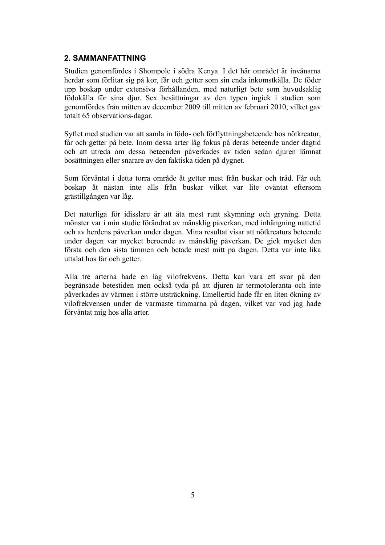### **2. SAMMANFATTNING**

Studien genomfördes i Shompole i södra Kenya. I det här området är invånarna herdar som förlitar sig på kor, får och getter som sin enda inkomstkälla. De föder upp boskap under extensiva förhållanden, med naturligt bete som huvudsaklig födokälla för sina djur. Sex besättningar av den typen ingick i studien som genomfördes från mitten av december 2009 till mitten av februari 2010, vilket gav totalt 65 observations-dagar.

Syftet med studien var att samla in födo- och förflyttningsbeteende hos nötkreatur, får och getter på bete. Inom dessa arter låg fokus på deras beteende under dagtid och att utreda om dessa beteenden påverkades av tiden sedan djuren lämnat bosättningen eller snarare av den faktiska tiden på dygnet.

Som förväntat i detta torra område åt getter mest från buskar och träd. Får och boskap åt nästan inte alls från buskar vilket var lite oväntat eftersom grästillgången var låg.

Det naturliga för idisslare är att äta mest runt skymning och gryning. Detta mönster var i min studie förändrat av mänsklig påverkan, med inhängning nattetid och av herdens påverkan under dagen. Mina resultat visar att nötkreaturs beteende under dagen var mycket beroende av mänsklig påverkan. De gick mycket den första och den sista timmen och betade mest mitt på dagen. Detta var inte lika uttalat hos får och getter.

Alla tre arterna hade en låg vilofrekvens. Detta kan vara ett svar på den begränsade betestiden men också tyda på att djuren är termotoleranta och inte påverkades av värmen i större utsträckning. Emellertid hade får en liten ökning av vilofrekvensen under de varmaste timmarna på dagen, vilket var vad jag hade förväntat mig hos alla arter.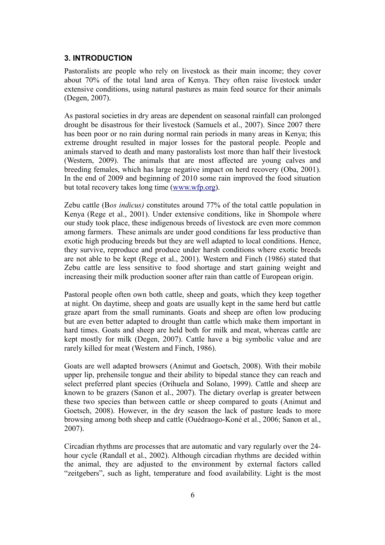#### **3. INTRODUCTION**

Pastoralists are people who rely on livestock as their main income; they cover about 70% of the total land area of Kenya. They often raise livestock under extensive conditions, using natural pastures as main feed source for their animals (Degen, 2007).

As pastoral societies in dry areas are dependent on seasonal rainfall can prolonged drought be disastrous for their livestock (Samuels et al., 2007). Since 2007 there has been poor or no rain during normal rain periods in many areas in Kenya; this extreme drought resulted in major losses for the pastoral people. People and animals starved to death and many pastoralists lost more than half their livestock (Western, 2009). The animals that are most affected are young calves and breeding females, which has large negative impact on herd recovery (Oba, 2001). In the end of 2009 and beginning of 2010 some rain improved the food situation but total recovery takes long time [\(www.wfp.org\)](http://www.wfp.org/).

Zebu cattle (B*os indicus)* constitutes around 77% of the total cattle population in Kenya (Rege et al., 2001). Under extensive conditions, like in Shompole where our study took place, these indigenous breeds of livestock are even more common among farmers. These animals are under good conditions far less productive than exotic high producing breeds but they are well adapted to local conditions. Hence, they survive, reproduce and produce under harsh conditions where exotic breeds are not able to be kept (Rege et al., 2001). Western and Finch (1986) stated that Zebu cattle are less sensitive to food shortage and start gaining weight and increasing their milk production sooner after rain than cattle of European origin.

Pastoral people often own both cattle, sheep and goats, which they keep together at night. On daytime, sheep and goats are usually kept in the same herd but cattle graze apart from the small ruminants. Goats and sheep are often low producing but are even better adapted to drought than cattle which make them important in hard times. Goats and sheep are held both for milk and meat, whereas cattle are kept mostly for milk (Degen, 2007). Cattle have a big symbolic value and are rarely killed for meat (Western and Finch, 1986).

Goats are well adapted browsers (Animut and Goetsch, 2008). With their mobile upper lip, prehensile tongue and their ability to bipedal stance they can reach and select preferred plant species (Orihuela and Solano, 1999). Cattle and sheep are known to be grazers (Sanon et al., 2007). The dietary overlap is greater between these two species than between cattle or sheep compared to goats (Animut and Goetsch, 2008). However, in the dry season the lack of pasture leads to more browsing among both sheep and cattle (Ouédraogo-Koné et al., 2006; Sanon et al., 2007).

Circadian rhythms are processes that are automatic and vary regularly over the 24 hour cycle (Randall et al., 2002). Although circadian rhythms are decided within the animal, they are adjusted to the environment by external factors called "zeitgebers", such as light, temperature and food availability. Light is the most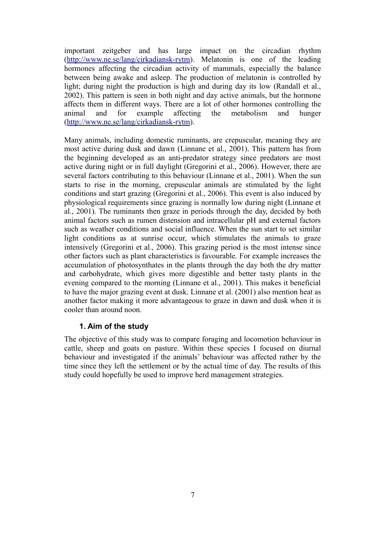important zeitgeber and has large impact on the circadian rhythm [\(http://www.ne.se/lang/cirkadiansk-rytm\)](http://www.ne.se/lang/cirkadiansk-rytm). Melatonin is one of the leading hormones affecting the circadian activity of mammals, especially the balance between being awake and asleep. The production of melatonin is controlled by light; during night the production is high and during day its low (Randall et al., 2002). This pattern is seen in both night and day active animals, but the hormone affects them in different ways. There are a lot of other hormones controlling the animal and for example affecting the metabolism and hunger [\(http://www.ne.se/lang/cirkadiansk-rytm\)](http://www.ne.se/lang/cirkadiansk-rytm).

Many animals, including domestic ruminants, are crepuscular, meaning they are most active during dusk and dawn (Linnane et al., 2001). This pattern has from the beginning developed as an anti-predator strategy since predators are most active during night or in full daylight (Gregorini et al., 2006). However, there are several factors contributing to this behaviour (Linnane et al., 2001). When the sun starts to rise in the morning, crepuscular animals are stimulated by the light conditions and start grazing (Gregorini et al., 2006). This event is also induced by physiological requirements since grazing is normally low during night (Linnane et al., 2001). The ruminants then graze in periods through the day, decided by both animal factors such as rumen distension and intracellular pH and external factors such as weather conditions and social influence. When the sun start to set similar light conditions as at sunrise occur, which stimulates the animals to graze intensively (Gregorini et al., 2006). This grazing period is the most intense since other factors such as plant characteristics is favourable. For example increases the accumulation of photosynthates in the plants through the day both the dry matter and carbohydrate, which gives more digestible and better tasty plants in the evening compared to the morning (Linnane et al., 2001). This makes it beneficial to have the major grazing event at dusk. Linnane et al. (2001) also mention heat as another factor making it more advantageous to graze in dawn and dusk when it is cooler than around noon.

#### **1. Aim of the study**

The objective of this study was to compare foraging and locomotion behaviour in cattle, sheep and goats on pasture. Within these species I focused on diurnal behaviour and investigated if the animals' behaviour was affected rather by the time since they left the settlement or by the actual time of day. The results of this study could hopefully be used to improve herd management strategies.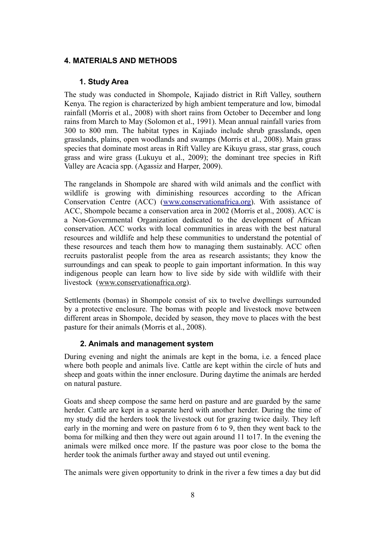# **4. MATERIALS AND METHODS**

#### **1. Study Area**

The study was conducted in Shompole, Kajiado district in Rift Valley, southern Kenya. The region is characterized by high ambient temperature and low, bimodal rainfall (Morris et al., 2008) with short rains from October to December and long rains from March to May (Solomon et al., 1991). Mean annual rainfall varies from 300 to 800 mm. The habitat types in Kajiado include shrub grasslands, open grasslands, plains, open woodlands and swamps (Morris et al., 2008). Main grass species that dominate most areas in Rift Valley are Kikuyu grass, star grass, couch grass and wire grass (Lukuyu et al., 2009); the dominant tree species in Rift Valley are Acacia spp. (Agassiz and Harper, 2009).

The rangelands in Shompole are shared with wild animals and the conflict with wildlife is growing with diminishing resources according to the African Conservation Centre (ACC) [\(www.conservationafrica.org\)](http://www.conservationafrica.org/). With assistance of ACC, Shompole became a conservation area in 2002 (Morris et al., 2008). ACC is a Non-Governmental Organization dedicated to the development of African conservation. ACC works with local communities in areas with the best natural resources and wildlife and help these communities to understand the potential of these resources and teach them how to managing them sustainably. ACC often recruits pastoralist people from the area as research assistants; they know the surroundings and can speak to people to gain important information. In this way indigenous people can learn how to live side by side with wildlife with their livestock [\(www.conservationafrica.org\)](http://www.conservationafrica.org/).

Settlements (bomas) in Shompole consist of six to twelve dwellings surrounded by a protective enclosure. The bomas with people and livestock move between different areas in Shompole, decided by season, they move to places with the best pasture for their animals (Morris et al., 2008).

#### **2. Animals and management system**

During evening and night the animals are kept in the boma, i.e. a fenced place where both people and animals live. Cattle are kept within the circle of huts and sheep and goats within the inner enclosure. During daytime the animals are herded on natural pasture.

Goats and sheep compose the same herd on pasture and are guarded by the same herder. Cattle are kept in a separate herd with another herder. During the time of my study did the herders took the livestock out for grazing twice daily. They left early in the morning and were on pasture from 6 to 9, then they went back to the boma for milking and then they were out again around 11 to17. In the evening the animals were milked once more. If the pasture was poor close to the boma the herder took the animals further away and stayed out until evening.

The animals were given opportunity to drink in the river a few times a day but did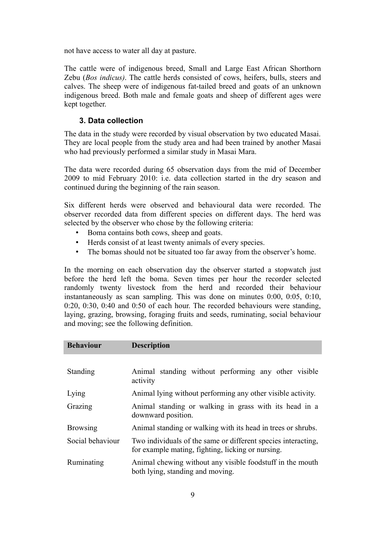not have access to water all day at pasture.

The cattle were of indigenous breed, Small and Large East African Shorthorn Zebu (*Bos indicus)*. The cattle herds consisted of cows, heifers, bulls, steers and calves. The sheep were of indigenous fat-tailed breed and goats of an unknown indigenous breed. Both male and female goats and sheep of different ages were kept together.

### **3. Data collection**

The data in the study were recorded by visual observation by two educated Masai. They are local people from the study area and had been trained by another Masai who had previously performed a similar study in Masai Mara.

The data were recorded during 65 observation days from the mid of December 2009 to mid February 2010: i.e. data collection started in the dry season and continued during the beginning of the rain season.

Six different herds were observed and behavioural data were recorded. The observer recorded data from different species on different days. The herd was selected by the observer who chose by the following criteria:

- Boma contains both cows, sheep and goats.
- Herds consist of at least twenty animals of every species.
- The bomas should not be situated too far away from the observer's home.

In the morning on each observation day the observer started a stopwatch just before the herd left the boma. Seven times per hour the recorder selected randomly twenty livestock from the herd and recorded their behaviour instantaneously as scan sampling. This was done on minutes 0:00, 0:05, 0:10, 0:20, 0:30, 0:40 and 0:50 of each hour. The recorded behaviours were standing, laying, grazing, browsing, foraging fruits and seeds, ruminating, social behaviour and moving; see the following definition.

| <b>Behaviour</b> | <b>Description</b>                                                                                                 |
|------------------|--------------------------------------------------------------------------------------------------------------------|
|                  |                                                                                                                    |
| Standing         | Animal standing without performing any other visible<br>activity                                                   |
| Lying            | Animal lying without performing any other visible activity.                                                        |
| Grazing          | Animal standing or walking in grass with its head in a<br>downward position.                                       |
| <b>Browsing</b>  | Animal standing or walking with its head in trees or shrubs.                                                       |
| Social behaviour | Two individuals of the same or different species interacting,<br>for example mating, fighting, licking or nursing. |
| Ruminating       | Animal chewing without any visible foodstuff in the mouth<br>both lying, standing and moving.                      |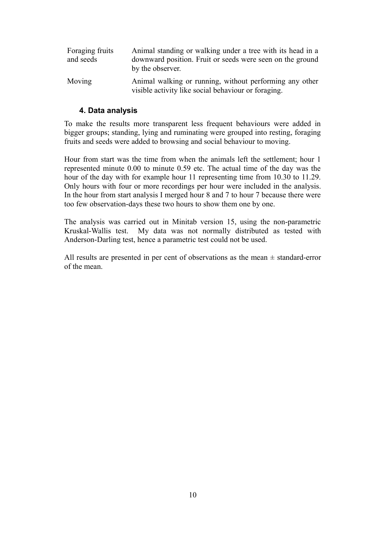| Foraging fruits | Animal standing or walking under a tree with its head in a                                                     |
|-----------------|----------------------------------------------------------------------------------------------------------------|
| and seeds       | downward position. Fruit or seeds were seen on the ground<br>by the observer.                                  |
| Moving          | Animal walking or running, without performing any other<br>visible activity like social behaviour or foraging. |

#### **4. Data analysis**

To make the results more transparent less frequent behaviours were added in bigger groups; standing, lying and ruminating were grouped into resting, foraging fruits and seeds were added to browsing and social behaviour to moving.

Hour from start was the time from when the animals left the settlement; hour 1 represented minute 0.00 to minute 0.59 etc. The actual time of the day was the hour of the day with for example hour 11 representing time from 10.30 to 11.29. Only hours with four or more recordings per hour were included in the analysis. In the hour from start analysis I merged hour 8 and 7 to hour 7 because there were too few observation-days these two hours to show them one by one.

The analysis was carried out in Minitab version 15, using the non-parametric Kruskal-Wallis test. My data was not normally distributed as tested with Anderson-Darling test, hence a parametric test could not be used.

All results are presented in per cent of observations as the mean  $\pm$  standard-error of the mean.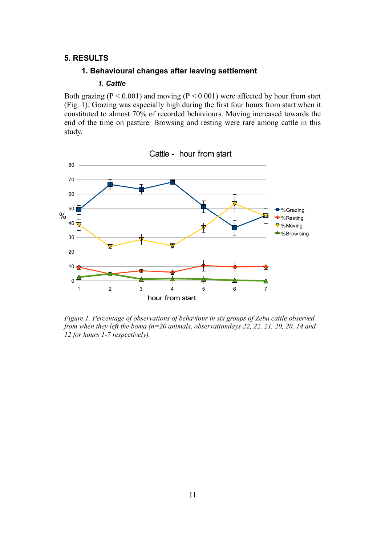#### **5. RESULTS**

#### **1. Behavioural changes after leaving settlement**

#### *1. Cattle*

Both grazing ( $P < 0.001$ ) and moving ( $P < 0.001$ ) were affected by hour from start (Fig. 1). Grazing was especially high during the first four hours from start when it constituted to almost 70% of recorded behaviours. Moving increased towards the end of the time on pasture. Browsing and resting were rare among cattle in this study.



*Figure 1. Percentage of observations of behaviour in six groups of Zebu cattle observed from when they left the boma (n=20 animals, observationdays 22, 22, 21, 20, 20, 14 and*

*12 for hours 1-7 respectively).*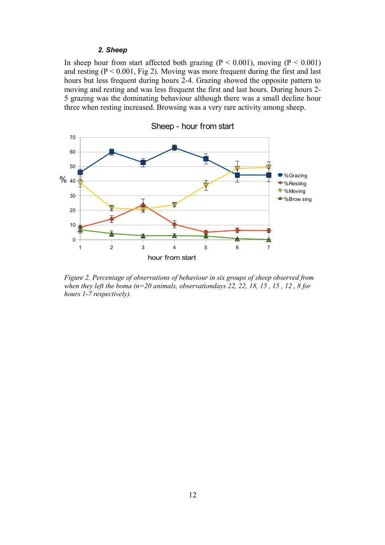#### *2. Sheep*

In sheep hour from start affected both grazing ( $P < 0.001$ ), moving ( $P < 0.001$ ) and resting  $(P < 0.001$ , Fig 2). Moving was more frequent during the first and last hours but less frequent during hours 2-4. Grazing showed the opposite pattern to moving and resting and was less frequent the first and last hours. During hours 2- 5 grazing was the dominating behaviour although there was a small decline hour three when resting increased. Browsing was a very rare activity among sheep.



*Figure 2. Percentage of observations of behaviour in six groups of sheep observed from when they left the boma (n=20 animals, observationdays 22, 22, 18, 15 , 15 , 12 , 8 for hours 1-7 respectively).*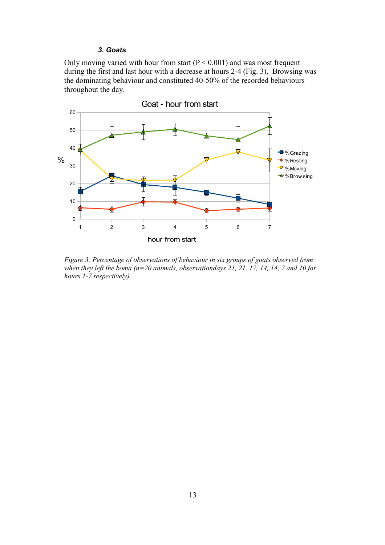#### *3. Goats*

Only moving varied with hour from start ( $P < 0.001$ ) and was most frequent during the first and last hour with a decrease at hours 2-4 (Fig. 3). Browsing was the dominating behaviour and constituted 40-50% of the recorded behaviours throughout the day.



*Figure 3. Percentage of observations of behaviour in six groups of goats observed from when they left the boma (n=20 animals, observationdays 21, 21, 17, 14, 14, 7 and 10 for hours 1-7 respectively).*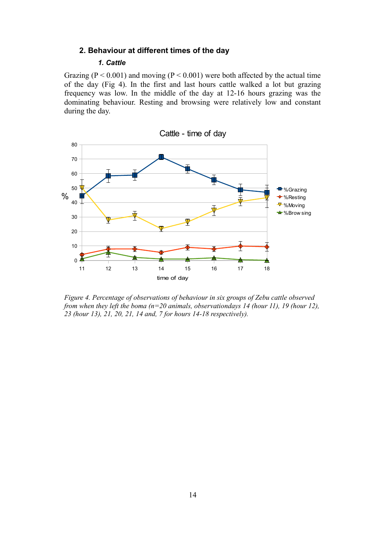## **2. Behaviour at different times of the day**

# *1. Cattle*

Grazing ( $P < 0.001$ ) and moving ( $P < 0.001$ ) were both affected by the actual time of the day (Fig 4). In the first and last hours cattle walked a lot but grazing frequency was low. In the middle of the day at 12-16 hours grazing was the dominating behaviour. Resting and browsing were relatively low and constant during the day.



*Figure 4. Percentage of observations of behaviour in six groups of Zebu cattle observed from when they left the boma (n=20 animals, observationdays 14 (hour 11), 19 (hour 12), 23 (hour 13), 21, 20, 21, 14 and, 7 for hours 14-18 respectively).*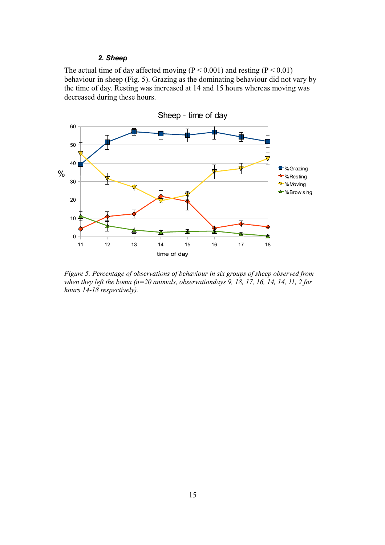#### *2. Sheep*

The actual time of day affected moving ( $P < 0.001$ ) and resting ( $P < 0.01$ ) behaviour in sheep (Fig. 5). Grazing as the dominating behaviour did not vary by the time of day. Resting was increased at 14 and 15 hours whereas moving was decreased during these hours.



*Figure 5. Percentage of observations of behaviour in six groups of sheep observed from when they left the boma (n=20 animals, observationdays 9, 18, 17, 16, 14, 14, 11, 2 for hours 14-18 respectively).*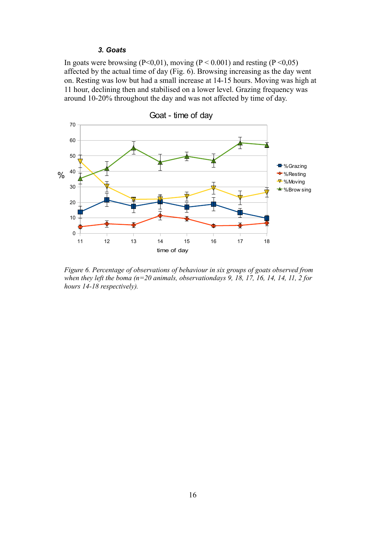#### *3. Goats*

In goats were browsing ( $P \le 0.01$ ), moving ( $P \le 0.001$ ) and resting ( $P \le 0.05$ ) affected by the actual time of day (Fig. 6). Browsing increasing as the day went on. Resting was low but had a small increase at 14-15 hours. Moving was high at 11 hour, declining then and stabilised on a lower level. Grazing frequency was around 10-20% throughout the day and was not affected by time of day.



*Figure 6. Percentage of observations of behaviour in six groups of goats observed from when they left the boma (n=20 animals, observationdays 9, 18, 17, 16, 14, 14, 11, 2 for hours 14-18 respectively).*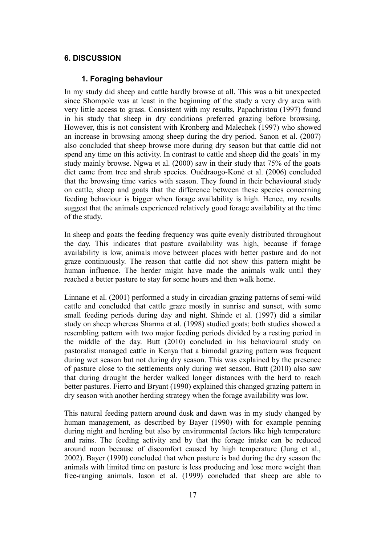#### **6. DISCUSSION**

#### **1. Foraging behaviour**

In my study did sheep and cattle hardly browse at all. This was a bit unexpected since Shompole was at least in the beginning of the study a very dry area with very little access to grass. Consistent with my results, Papachristou (1997) found in his study that sheep in dry conditions preferred grazing before browsing. However, this is not consistent with Kronberg and Malechek (1997) who showed an increase in browsing among sheep during the dry period. Sanon et al. (2007) also concluded that sheep browse more during dry season but that cattle did not spend any time on this activity. In contrast to cattle and sheep did the goats' in my study mainly browse. Ngwa et al. (2000) saw in their study that 75% of the goats diet came from tree and shrub species. Ouédraogo-Koné et al. (2006) concluded that the browsing time varies with season. They found in their behavioural study on cattle, sheep and goats that the difference between these species concerning feeding behaviour is bigger when forage availability is high. Hence, my results suggest that the animals experienced relatively good forage availability at the time of the study.

In sheep and goats the feeding frequency was quite evenly distributed throughout the day. This indicates that pasture availability was high, because if forage availability is low, animals move between places with better pasture and do not graze continuously. The reason that cattle did not show this pattern might be human influence. The herder might have made the animals walk until they reached a better pasture to stay for some hours and then walk home.

Linnane et al. (2001) performed a study in circadian grazing patterns of semi-wild cattle and concluded that cattle graze mostly in sunrise and sunset, with some small feeding periods during day and night. Shinde et al. (1997) did a similar study on sheep whereas Sharma et al. (1998) studied goats; both studies showed a resembling pattern with two major feeding periods divided by a resting period in the middle of the day. Butt (2010) concluded in his behavioural study on pastoralist managed cattle in Kenya that a bimodal grazing pattern was frequent during wet season but not during dry season. This was explained by the presence of pasture close to the settlements only during wet season. Butt (2010) also saw that during drought the herder walked longer distances with the herd to reach better pastures. Fierro and Bryant (1990) explained this changed grazing pattern in dry season with another herding strategy when the forage availability was low.

This natural feeding pattern around dusk and dawn was in my study changed by human management, as described by Bayer (1990) with for example penning during night and herding but also by environmental factors like high temperature and rains. The feeding activity and by that the forage intake can be reduced around noon because of discomfort caused by high temperature (Jung et al., 2002). Bayer (1990) concluded that when pasture is bad during the dry season the animals with limited time on pasture is less producing and lose more weight than free-ranging animals. Iason et al. (1999) concluded that sheep are able to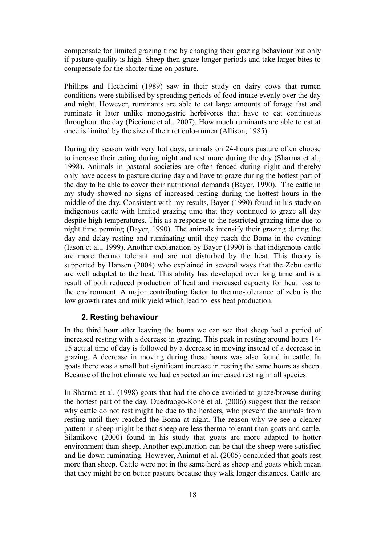compensate for limited grazing time by changing their grazing behaviour but only if pasture quality is high. Sheep then graze longer periods and take larger bites to compensate for the shorter time on pasture.

Phillips and Hecheimi (1989) saw in their study on dairy cows that rumen conditions were stabilised by spreading periods of food intake evenly over the day and night. However, ruminants are able to eat large amounts of forage fast and ruminate it later unlike monogastric herbivores that have to eat continuous throughout the day (Piccione et al., 2007). How much ruminants are able to eat at once is limited by the size of their reticulo-rumen (Allison, 1985).

During dry season with very hot days, animals on 24-hours pasture often choose to increase their eating during night and rest more during the day (Sharma et al., 1998). Animals in pastoral societies are often fenced during night and thereby only have access to pasture during day and have to graze during the hottest part of the day to be able to cover their nutritional demands (Bayer, 1990). The cattle in my study showed no signs of increased resting during the hottest hours in the middle of the day. Consistent with my results, Bayer (1990) found in his study on indigenous cattle with limited grazing time that they continued to graze all day despite high temperatures. This as a response to the restricted grazing time due to night time penning (Bayer, 1990). The animals intensify their grazing during the day and delay resting and ruminating until they reach the Boma in the evening (Iason et al., 1999). Another explanation by Bayer (1990) is that indigenous cattle are more thermo tolerant and are not disturbed by the heat. This theory is supported by Hansen (2004) who explained in several ways that the Zebu cattle are well adapted to the heat. This ability has developed over long time and is a result of both reduced production of heat and increased capacity for heat loss to the environment. A major contributing factor to thermo-tolerance of zebu is the low growth rates and milk yield which lead to less heat production.

## **2. Resting behaviour**

In the third hour after leaving the boma we can see that sheep had a period of increased resting with a decrease in grazing. This peak in resting around hours 14- 15 actual time of day is followed by a decrease in moving instead of a decrease in grazing. A decrease in moving during these hours was also found in cattle. In goats there was a small but significant increase in resting the same hours as sheep. Because of the hot climate we had expected an increased resting in all species.

In Sharma et al. (1998) goats that had the choice avoided to graze/browse during the hottest part of the day. Ouédraogo-Koné et al. (2006) suggest that the reason why cattle do not rest might be due to the herders, who prevent the animals from resting until they reached the Boma at night. The reason why we see a clearer pattern in sheep might be that sheep are less thermo-tolerant than goats and cattle. Silanikove (2000) found in his study that goats are more adapted to hotter environment than sheep. Another explanation can be that the sheep were satisfied and lie down ruminating. However, Animut et al. (2005) concluded that goats rest more than sheep. Cattle were not in the same herd as sheep and goats which mean that they might be on better pasture because they walk longer distances. Cattle are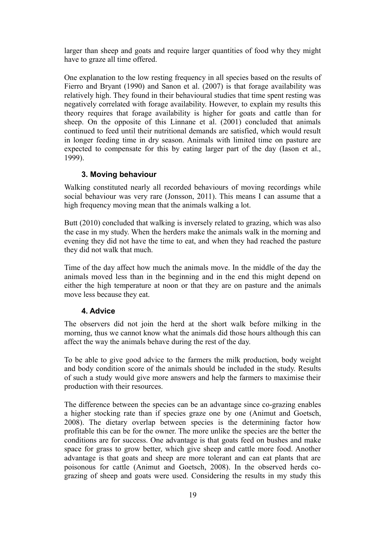larger than sheep and goats and require larger quantities of food why they might have to graze all time offered.

One explanation to the low resting frequency in all species based on the results of Fierro and Bryant (1990) and Sanon et al. (2007) is that forage availability was relatively high. They found in their behavioural studies that time spent resting was negatively correlated with forage availability. However, to explain my results this theory requires that forage availability is higher for goats and cattle than for sheep. On the opposite of this Linnane et al. (2001) concluded that animals continued to feed until their nutritional demands are satisfied, which would result in longer feeding time in dry season. Animals with limited time on pasture are expected to compensate for this by eating larger part of the day (Iason et al., 1999).

## **3. Moving behaviour**

Walking constituted nearly all recorded behaviours of moving recordings while social behaviour was very rare (Jonsson, 2011). This means I can assume that a high frequency moving mean that the animals walking a lot.

Butt (2010) concluded that walking is inversely related to grazing, which was also the case in my study. When the herders make the animals walk in the morning and evening they did not have the time to eat, and when they had reached the pasture they did not walk that much.

Time of the day affect how much the animals move. In the middle of the day the animals moved less than in the beginning and in the end this might depend on either the high temperature at noon or that they are on pasture and the animals move less because they eat.

#### **4. Advice**

The observers did not join the herd at the short walk before milking in the morning, thus we cannot know what the animals did those hours although this can affect the way the animals behave during the rest of the day.

To be able to give good advice to the farmers the milk production, body weight and body condition score of the animals should be included in the study. Results of such a study would give more answers and help the farmers to maximise their production with their resources.

The difference between the species can be an advantage since co-grazing enables a higher stocking rate than if species graze one by one (Animut and Goetsch, 2008). The dietary overlap between species is the determining factor how profitable this can be for the owner. The more unlike the species are the better the conditions are for success. One advantage is that goats feed on bushes and make space for grass to grow better, which give sheep and cattle more food. Another advantage is that goats and sheep are more tolerant and can eat plants that are poisonous for cattle (Animut and Goetsch, 2008). In the observed herds cograzing of sheep and goats were used. Considering the results in my study this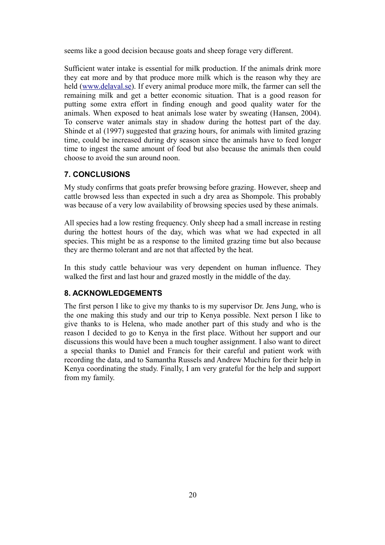seems like a good decision because goats and sheep forage very different.

Sufficient water intake is essential for milk production. If the animals drink more they eat more and by that produce more milk which is the reason why they are held [\(www.delaval.se\)](http://www.delaval.se/). If every animal produce more milk, the farmer can sell the remaining milk and get a better economic situation. That is a good reason for putting some extra effort in finding enough and good quality water for the animals. When exposed to heat animals lose water by sweating (Hansen, 2004). To conserve water animals stay in shadow during the hottest part of the day. Shinde et al (1997) suggested that grazing hours, for animals with limited grazing time, could be increased during dry season since the animals have to feed longer time to ingest the same amount of food but also because the animals then could choose to avoid the sun around noon.

# **7. CONCLUSIONS**

My study confirms that goats prefer browsing before grazing. However, sheep and cattle browsed less than expected in such a dry area as Shompole. This probably was because of a very low availability of browsing species used by these animals.

All species had a low resting frequency. Only sheep had a small increase in resting during the hottest hours of the day, which was what we had expected in all species. This might be as a response to the limited grazing time but also because they are thermo tolerant and are not that affected by the heat.

In this study cattle behaviour was very dependent on human influence. They walked the first and last hour and grazed mostly in the middle of the day.

#### **8. ACKNOWLEDGEMENTS**

The first person I like to give my thanks to is my supervisor Dr. Jens Jung, who is the one making this study and our trip to Kenya possible. Next person I like to give thanks to is Helena, who made another part of this study and who is the reason I decided to go to Kenya in the first place. Without her support and our discussions this would have been a much tougher assignment. I also want to direct a special thanks to Daniel and Francis for their careful and patient work with recording the data, and to Samantha Russels and Andrew Muchiru for their help in Kenya coordinating the study. Finally, I am very grateful for the help and support from my family.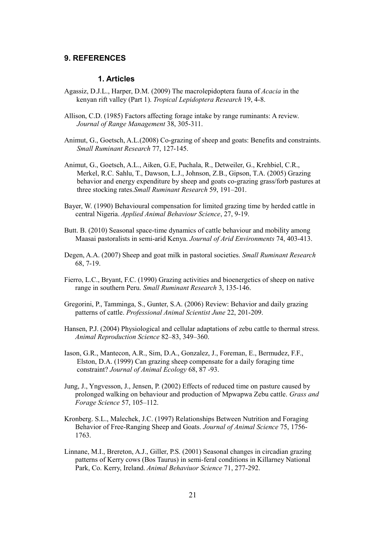#### **9. REFERENCES**

#### **1. Articles**

- Agassiz, D.J.L., Harper, D.M. (2009) The macrolepidoptera fauna of *Acacia* in the kenyan rift valley (Part 1). *Tropical Lepidoptera Research* 19, 4-8.
- Allison, C.D. (1985) Factors affecting forage intake by range ruminants: A review. *Journal of Range Management* 38, 305-311.
- Animut, G., Goetsch, A.L.(2008) Co-grazing of sheep and goats: Benefits and constraints. *Small Ruminant Research* 77, 127-145.
- Animut, G., Goetsch, A.L., Aiken, G.E, Puchala, R., Detweiler, G., Krehbiel, C.R., Merkel, R.C. Sahlu, T., Dawson, L.J., Johnson, Z.B., Gipson, T.A. (2005) Grazing behavior and energy expenditure by sheep and goats co-grazing grass/forb pastures at three stocking rates.*Small Ruminant Research* 59, 191–201.
- Bayer, W. (1990) Behavioural compensation for limited grazing time by herded cattle in central Nigeria. *Applied Animal Behaviour Science*, 27, 9-19.
- Butt. B. (2010) Seasonal space-time dynamics of cattle behaviour and mobility among Maasai pastoralists in semi-arid Kenya. *Journal of Arid Environments* 74, 403-413.
- Degen, A.A. (2007) Sheep and goat milk in pastoral societies. *Small Ruminant Research*  68, 7-19.
- Fierro, L.C., Bryant, F.C. (1990) Grazing activities and bioenergetics of sheep on native range in southern Peru. *Small Ruminant Research* 3, 135-146.
- Gregorini, P., Tamminga, S., Gunter, S.A. (2006) Review: Behavior and daily grazing patterns of cattle. *Professional Animal Scientist June* 22, 201-209.
- Hansen, P.J. (2004) Physiological and cellular adaptations of zebu cattle to thermal stress. *Animal Reproduction Science* 82–83, 349–360.
- Iason, G.R., Mantecon, A.R., Sim, D.A., Gonzalez, J., Foreman, E., Bermudez, F.F., Elston, D.A. (1999) Can grazing sheep compensate for a daily foraging time constraint? *Journal of Animal Ecology* 68, 87 -93.
- Jung, J., Yngvesson, J., Jensen, P. (2002) Effects of reduced time on pasture caused by prolonged walking on behaviour and production of Mpwapwa Zebu cattle. *Grass and Forage Science* 57, 105–112.
- Kronberg. S.L., Malechek, J.C. (1997) Relationships Between Nutrition and Foraging Behavior of Free-Ranging Sheep and Goats. *Journal of Animal Science* 75, 1756- 1763.
- Linnane, M.I., Brereton, A.J., Giller, P.S. (2001) Seasonal changes in circadian grazing patterns of Kerry cows (Bos Taurus) in semi-feral conditions in Killarney National Park, Co. Kerry, Ireland. *Animal Behaviuor Science* 71, 277-292.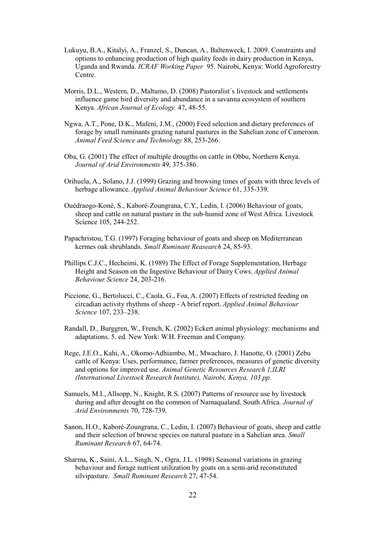- Lukuyu, B.A., Kitalyi, A., Franzel, S., Duncan, A., Baltenweck, I. 2009. Constraints and options to enhancing production of high quality feeds in dairy production in Kenya, Uganda and Rwanda. *ICRAF Working Paper* 95. Nairobi, Kenya: World Agroforestry Centre.
- Morris, D.L., Western, D., Maltumo, D. (2008) Pastoralist´s livestock and settlements influence game bird diversity and abundance in a savanna ecosystem of southern Kenya. *African Journal of Ecology.* 47, 48-55.
- Ngwa, A.T., Pone, D.K., Mafeni, J.M., (2000) Feed selection and dietary preferences of forage by small ruminants grazing natural pastures in the Sahelian zone of Cameroon. *Animal Feed Science and Technology* 88, 253-266.
- Oba, G. (2001) The effect of multiple drougths on cattle in Obbu, Northern Kenya. *Journal of Arid Environments* 49, 375-386.
- Orihuela, A., Solano, J.J. (1999) Grazing and browsing times of goats with three levels of herbage allowance. *Applied Animal Behaviour Science* 61, 335-339.
- Ouédraogo-Koné, S., Kaboré-Zoungrana, C.Y., Ledin, I. (2006) Behaviour of goats, sheep and cattle on natural pasture in the sub-humid zone of West Africa. Livestock Science 105, 244-252.
- Papachristou, T.G. (1997) Foraging behaviour of goats and sheep on Mediterranean kermes oak shrublands. *Small Ruminant Reasearch* 24, 85-93.
- Phillips C.J.C., Hecheimi, K. (1989) The Effect of Forage Supplementation, Herbage Height and Season on the Ingestive Behaviour of Dairy Cows. *Applied Animal Behaviour Science* 24, 203-216.
- Piccione, G., Bertolucci, C., Caola, G., Foa, A. (2007) Effects of restricted feeding on circadian activity rhythms of sheep - A brief report. *Applied Animal Behaviour Science* 107, 233–238.
- Randall, D., Burggren, W., French, K. (2002) Eckert animal physiology: mechanisms and adaptations. 5. ed. New York: W.H. Freeman and Company.
- Rege, J.E.O., Kahi, A., Okomo-Adhiambo, M., Mwacharo, J. Hanotte, O. (2001) Zebu cattle of Kenya: Uses, performance, farmer preferences, measures of genetic diversity and options for improved use. *Animal Genetic Resources Research 1,ILRI (International Livestock Research Institute), Nairobi, Kenya, 103 pp.*
- Samuels, M.I., Allsopp, N., Knight, R.S. (2007) Patterns of resource use by livestock during and after drought on the common of Namaqualand, South Africa. *Journal of Arid Environments* 70, 728-739.
- Sanon, H.O., Kaboré-Zoungrana, C., Ledin, I. (2007) Behaviour of goats, sheep and cattle and their selection of browse species on natural pasture in a Sahelian area. *Small Ruminant Research* 67, 64-74.
- Sharma, K., Saini, A.L., Singh, N., Ogra, J.L. (1998) Seasonal variations in grazing behaviour and forage nutrient utilization by goats on a semi-arid reconstituted silvipasture. *Small Ruminant Research* 27, 47-54.